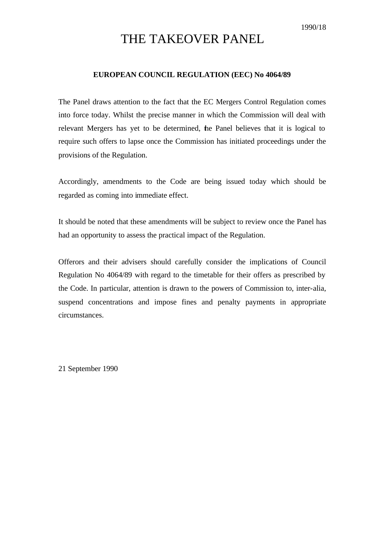# THE TAKEOVER PANEL

#### **EUROPEAN COUNCIL REGULATION (EEC) No 4064/89**

The Panel draws attention to the fact that the EC Mergers Control Regulation comes into force today. Whilst the precise manner in which the Commission will deal with relevant Mergers has yet to be determined, the Panel believes that it is logical to require such offers to lapse once the Commission has initiated proceedings under the provisions of the Regulation.

Accordingly, amendments to the Code are being issued today which should be regarded as coming into immediate effect.

It should be noted that these amendments will be subject to review once the Panel has had an opportunity to assess the practical impact of the Regulation.

Offerors and their advisers should carefully consider the implications of Council Regulation No 4064/89 with regard to the timetable for their offers as prescribed by the Code. In particular, attention is drawn to the powers of Commission to, inter-alia, suspend concentrations and impose fines and penalty payments in appropriate circumstances.

21 September 1990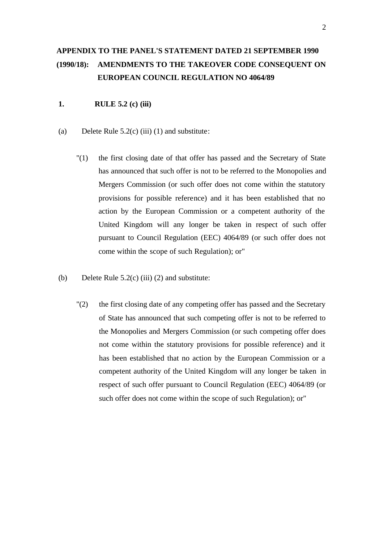# **APPENDIX TO THE PANEL'S STATEMENT DATED 21 SEPTEMBER 1990 (1990/18): AMENDMENTS TO THE TAKEOVER CODE CONSEQUENT ON EUROPEAN COUNCIL REGULATION NO 4064/89**

# **1. RULE 5.2 (c) (iii)**

- (a) Delete Rule  $5.2(c)$  (iii) (1) and substitute:
	- "(1) the first closing date of that offer has passed and the Secretary of State has announced that such offer is not to be referred to the Monopolies and Mergers Commission (or such offer does not come within the statutory provisions for possible reference) and it has been established that no action by the European Commission or a competent authority of the United Kingdom will any longer be taken in respect of such offer pursuant to Council Regulation (EEC) 4064/89 (or such offer does not come within the scope of such Regulation); or"
- (b) Delete Rule  $5.2(c)$  (iii) (2) and substitute:
	- "(2) the first closing date of any competing offer has passed and the Secretary of State has announced that such competing offer is not to be referred to the Monopolies and Mergers Commission (or such competing offer does not come within the statutory provisions for possible reference) and it has been established that no action by the European Commission or a competent authority of the United Kingdom will any longer be taken in respect of such offer pursuant to Council Regulation (EEC) 4064/89 (or such offer does not come within the scope of such Regulation); or"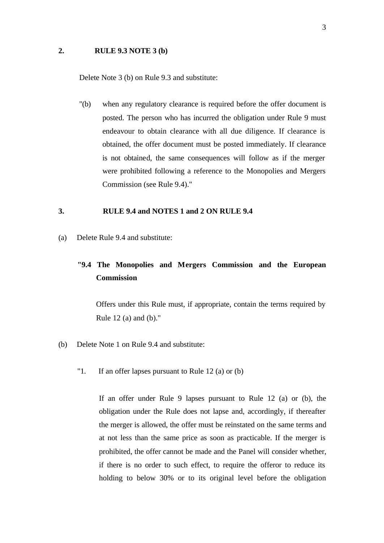### **2. RULE 9.3 NOTE 3 (b)**

Delete Note 3 (b) on Rule 9.3 and substitute:

"(b) when any regulatory clearance is required before the offer document is posted. The person who has incurred the obligation under Rule 9 must endeavour to obtain clearance with all due diligence. If clearance is obtained, the offer document must be posted immediately. If clearance is not obtained, the same consequences will follow as if the merger were prohibited following a reference to the Monopolies and Mergers Commission (see Rule 9.4)."

### **3. RULE 9.4 and NOTES 1 and 2 ON RULE 9.4**

(a) Delete Rule 9.4 and substitute:

# **"9.4 The Monopolies and Mergers Commission and the European Commission**

Offers under this Rule must, if appropriate, contain the terms required by Rule 12 (a) and (b)."

- (b) Delete Note 1 on Rule 9.4 and substitute:
	- "1. If an offer lapses pursuant to Rule 12 (a) or (b)

If an offer under Rule 9 lapses pursuant to Rule 12 (a) or (b), the obligation under the Rule does not lapse and, accordingly, if thereafter the merger is allowed, the offer must be reinstated on the same terms and at not less than the same price as soon as practicable. If the merger is prohibited, the offer cannot be made and the Panel will consider whether, if there is no order to such effect, to require the offeror to reduce its holding to below 30% or to its original level before the obligation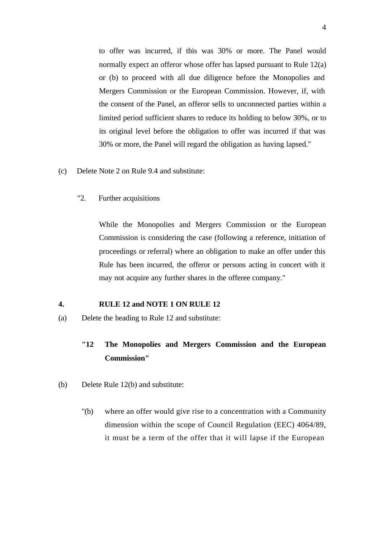to offer was incurred, if this was 30% or more. The Panel would normally expect an offeror whose offer has lapsed pursuant to Rule 12(a) or (b) to proceed with all due diligence before the Monopolies and Mergers Commission or the European Commission. However, if, with the consent of the Panel, an offeror sells to unconnected parties within a limited period sufficient shares to reduce its holding to below 30%, or to its original level before the obligation to offer was incurred if that was 30% or more, the Panel will regard the obligation as having lapsed."

- (c) Delete Note 2 on Rule 9.4 and substitute:
	- "2. Further acquisitions

While the Monopolies and Mergers Commission or the European Commission is considering the case (following a reference, initiation of proceedings or referral) where an obligation to make an offer under this Rule has been incurred, the offeror or persons acting in concert with it may not acquire any further shares in the offeree company."

#### **4. RULE 12 and NOTE 1 ON RULE 12**

(a) Delete the heading to Rule 12 and substitute:

# **"12 The Monopolies and Mergers Commission and the European Commission"**

- (b) Delete Rule 12(b) and substitute:
	- "(b) where an offer would give rise to a concentration with a Community dimension within the scope of Council Regulation (EEC) 4064/89, it must be a term of the offer that it will lapse if the European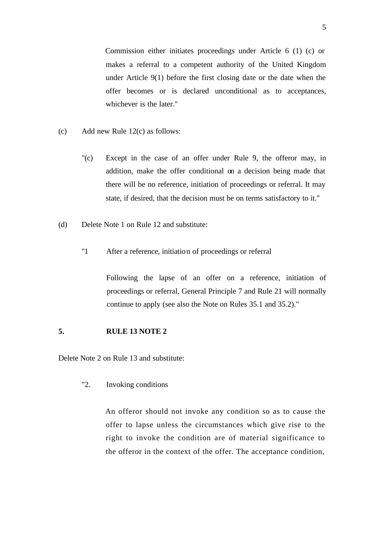Commission either initiates proceedings under Article 6 (1) (c) or makes a referral to a competent authority of the United Kingdom under Article 9(1) before the first closing date or the date when the offer becomes or is declared unconditional as to acceptances, whichever is the later."

- (c) Add new Rule 12(c) as follows:
	- "(c) Except in the case of an offer under Rule 9, the offeror may, in addition, make the offer conditional on a decision being made that there will be no reference, initiation of proceedings or referral. It may state, if desired, that the decision must be on terms satisfactory to it."
- (d) Delete Note 1 on Rule 12 and substitute:
	- "1 After a reference, initiation of proceedings or referral

Following the lapse of an offer on a reference, initiation of proceedings or referral, General Principle 7 and Rule 21 will normally continue to apply (see also the Note on Rules 35.1 and 35.2)."

#### **5. RULE 13 NOTE 2**

Delete Note 2 on Rule 13 and substitute:

"2. Invoking conditions

An offeror should not invoke any condition so as to cause the offer to lapse unless the circumstances which give rise to the right to invoke the condition are of material significance to the offeror in the context of the offer. The acceptance condition,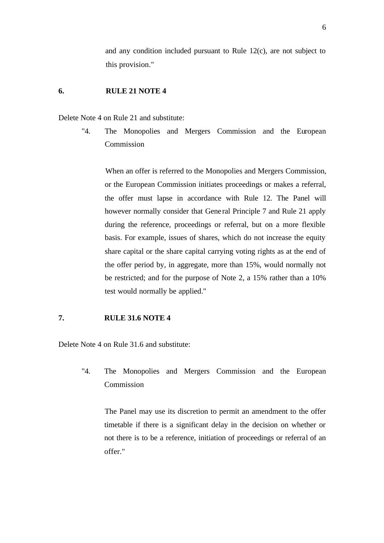and any condition included pursuant to Rule 12(c), are not subject to this provision."

### **6. RULE 21 NOTE 4**

Delete Note 4 on Rule 21 and substitute:

"4. The Monopolies and Mergers Commission and the European Commission

When an offer is referred to the Monopolies and Mergers Commission, or the European Commission initiates proceedings or makes a referral, the offer must lapse in accordance with Rule 12. The Panel will however normally consider that Gene ral Principle 7 and Rule 21 apply during the reference, proceedings or referral, but on a more flexible basis. For example, issues of shares, which do not increase the equity share capital or the share capital carrying voting rights as at the end of the offer period by, in aggregate, more than 15%, would normally not be restricted; and for the purpose of Note 2, a 15% rather than a 10% test would normally be applied."

## **7. RULE 31.6 NOTE 4**

Delete Note 4 on Rule 31.6 and substitute:

"4. The Monopolies and Mergers Commission and the European Commission

The Panel may use its discretion to permit an amendment to the offer timetable if there is a significant delay in the decision on whether or not there is to be a reference, initiation of proceedings or referral of an offer."